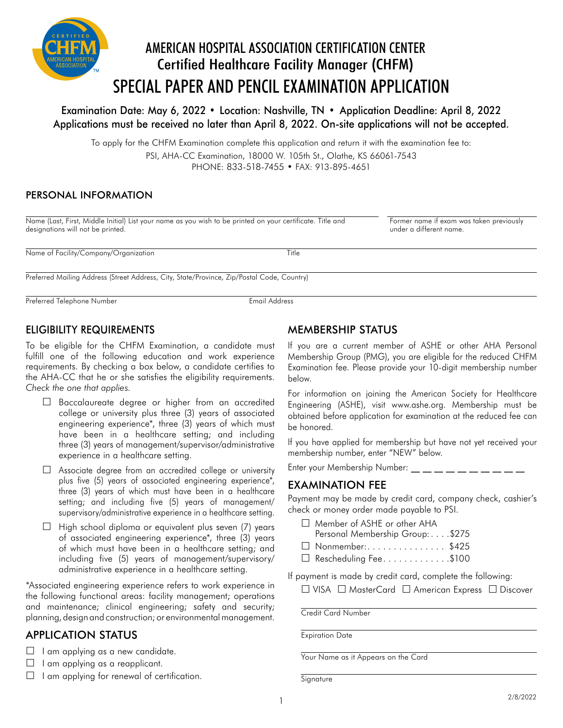

Examination Date: May 6, 2022 • Location: Nashville, TN • Application Deadline: April 8, 2022 Applications must be received no later than April 8, 2022. On-site applications will not be accepted.

To apply for the CHFM Examination complete this application and return it with the examination fee to: PSI, AHA-CC Examination, 18000 W. 105th St., Olathe, KS 66061-7543 PHONE: 833-518-7455 • FAX: 913-895-4651

#### PERSONAL INFORMATION

Name (Last, First, Middle Initial) List your name as you wish to be printed on your certificate. Title and Former name if exam was taken previously<br>designations will not be printed designations will not be printed. Name of Facility/Company/Organization Title Preferred Mailing Address (Street Address, City, State/Province, Zip/Postal Code, Country)

Preferred Telephone Number **Email Address** 

### ELIGIBILITY REQUIREMENTS

To be eligible for the CHFM Examination, a candidate must fulfill one of the following education and work experience requirements. By checking a box below, a candidate certifies to the AHA-CC that he or she satisfies the eligibility requirements. *Check the one that applies.*

- $\square$  Baccalaureate degree or higher from an accredited college or university plus three (3) years of associated engineering experience\*, three (3) years of which must have been in a healthcare setting; and including three (3) years of management/supervisor/administrative experience in a healthcare setting.
- Associate degree from an accredited college or university plus five (5) years of associated engineering experience\*, three (3) years of which must have been in a healthcare setting; and including five (5) years of management/ supervisory/administrative experience in a healthcare setting.
- $\Box$  High school diploma or equivalent plus seven (7) years of associated engineering experience\*, three (3) years of which must have been in a healthcare setting; and including five (5) years of management/supervisory/ administrative experience in a healthcare setting.

\*Associated engineering experience refers to work experience in the following functional areas: facility management; operations and maintenance; clinical engineering; safety and security; planning, design and construction; or environmental management.

# APPLICATION STATUS

 $\Box$  I am applying as a new candidate.

- $\Box$  I am applying as a reapplicant.
- $\Box$  I am applying for renewal of certification.

### MEMBERSHIP STATUS

If you are a current member of ASHE or other AHA Personal Membership Group (PMG), you are eligible for the reduced CHFM Examination fee. Please provide your 10-digit membership number below.

For information on joining the American Society for Healthcare Engineering (ASHE), visit www.ashe.org. Membership must be obtained before application for examination at the reduced fee can be honored.

If you have applied for membership but have not yet received your membership number, enter "NEW" below.

Enter your Membership Number: \_\_ \_\_ \_\_ \_\_ \_\_ \_\_ \_\_ \_\_ \_\_ \_\_

### EXAMINATION FEE

Payment may be made by credit card, company check, cashier's check or money order made payable to PSI.

- □ Member of ASHE or other AHA
- Personal Membership Group: . . . . \$275
- $\Box$  Nonmember:.............\$425
- $\Box$  Rescheduling Fee............\$100

If payment is made by credit card, complete the following:

 $\Box$  VISA  $\Box$  MasterCard  $\Box$  American Express  $\Box$  Discover

Credit Card Number

Expiration Date

Your Name as it Appears on the Card

**Signature**